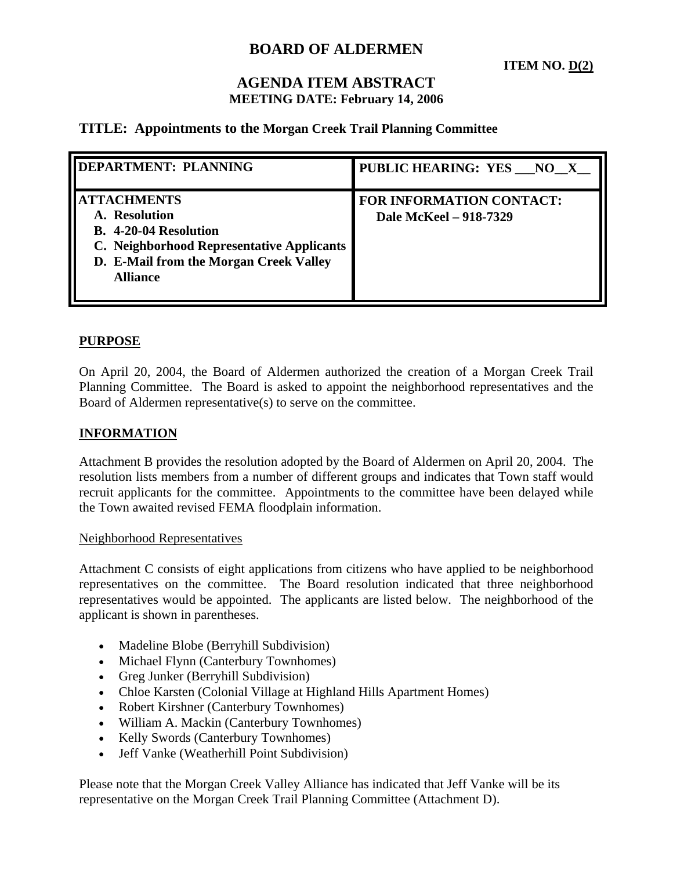# **BOARD OF ALDERMEN**

**ITEM NO. D(2)**

# **AGENDA ITEM ABSTRACT MEETING DATE: February 14, 2006**

## **TITLE: Appointments to the Morgan Creek Trail Planning Committee**

| <b>DEPARTMENT: PLANNING</b>                                                                                                                                                   | PUBLIC HEARING: YES NO X                                  |
|-------------------------------------------------------------------------------------------------------------------------------------------------------------------------------|-----------------------------------------------------------|
| <b>ATTACHMENTS</b><br>A. Resolution<br><b>B.</b> 4-20-04 Resolution<br>C. Neighborhood Representative Applicants<br>D. E-Mail from the Morgan Creek Valley<br><b>Alliance</b> | <b>FOR INFORMATION CONTACT:</b><br>Dale McKeel - 918-7329 |

### **PURPOSE**

On April 20, 2004, the Board of Aldermen authorized the creation of a Morgan Creek Trail Planning Committee. The Board is asked to appoint the neighborhood representatives and the Board of Aldermen representative(s) to serve on the committee.

#### **INFORMATION**

Attachment B provides the resolution adopted by the Board of Aldermen on April 20, 2004. The resolution lists members from a number of different groups and indicates that Town staff would recruit applicants for the committee. Appointments to the committee have been delayed while the Town awaited revised FEMA floodplain information.

#### Neighborhood Representatives

Attachment C consists of eight applications from citizens who have applied to be neighborhood representatives on the committee. The Board resolution indicated that three neighborhood representatives would be appointed. The applicants are listed below. The neighborhood of the applicant is shown in parentheses.

- Madeline Blobe (Berryhill Subdivision)
- Michael Flynn (Canterbury Townhomes)
- Greg Junker (Berryhill Subdivision)
- Chloe Karsten (Colonial Village at Highland Hills Apartment Homes)
- Robert Kirshner (Canterbury Townhomes)
- William A. Mackin (Canterbury Townhomes)
- Kelly Swords (Canterbury Townhomes)
- Jeff Vanke (Weatherhill Point Subdivision)

Please note that the Morgan Creek Valley Alliance has indicated that Jeff Vanke will be its representative on the Morgan Creek Trail Planning Committee (Attachment D).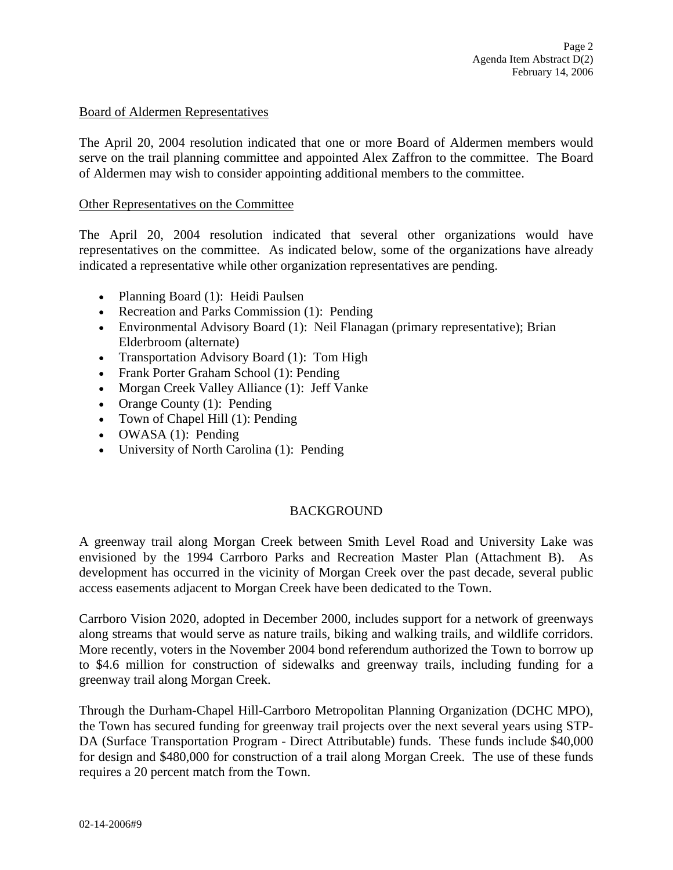#### Board of Aldermen Representatives

The April 20, 2004 resolution indicated that one or more Board of Aldermen members would serve on the trail planning committee and appointed Alex Zaffron to the committee. The Board of Aldermen may wish to consider appointing additional members to the committee.

#### Other Representatives on the Committee

The April 20, 2004 resolution indicated that several other organizations would have representatives on the committee. As indicated below, some of the organizations have already indicated a representative while other organization representatives are pending.

- Planning Board (1): Heidi Paulsen
- Recreation and Parks Commission (1): Pending
- Environmental Advisory Board (1): Neil Flanagan (primary representative); Brian Elderbroom (alternate)
- Transportation Advisory Board (1): Tom High
- Frank Porter Graham School (1): Pending
- Morgan Creek Valley Alliance (1): Jeff Vanke
- Orange County (1): Pending
- Town of Chapel Hill (1): Pending
- OWASA (1): Pending
- University of North Carolina (1): Pending

### BACKGROUND

A greenway trail along Morgan Creek between Smith Level Road and University Lake was envisioned by the 1994 Carrboro Parks and Recreation Master Plan (Attachment B). As development has occurred in the vicinity of Morgan Creek over the past decade, several public access easements adjacent to Morgan Creek have been dedicated to the Town.

Carrboro Vision 2020, adopted in December 2000, includes support for a network of greenways along streams that would serve as nature trails, biking and walking trails, and wildlife corridors. More recently, voters in the November 2004 bond referendum authorized the Town to borrow up to \$4.6 million for construction of sidewalks and greenway trails, including funding for a greenway trail along Morgan Creek.

Through the Durham-Chapel Hill-Carrboro Metropolitan Planning Organization (DCHC MPO), the Town has secured funding for greenway trail projects over the next several years using STP-DA (Surface Transportation Program - Direct Attributable) funds. These funds include \$40,000 for design and \$480,000 for construction of a trail along Morgan Creek. The use of these funds requires a 20 percent match from the Town.